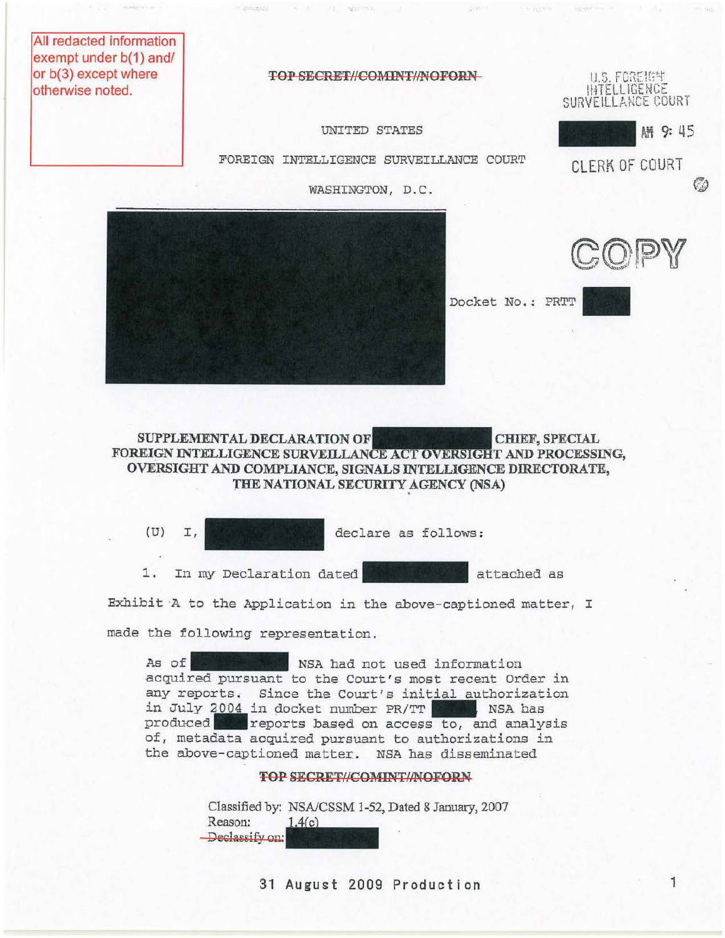All redacted information exempt under b(1) and/ or b(3) except where otherwise noted.

TOP SECRET//COMINT//NOFORN U.S, FCREEFY

 $4141 - 1$ 

9. A. . (1) 1987-90-1 17

 $-36666611$ 

INTELLIGENCE SURVEILLANCE COURT

CLERK Of COURT

Aft 9: 45

60

UNITED STATES

FOREIGN INTELLIGENCE SURVEILLANCE COURT

WASHINGTON, D.C.



SUPPLEMENTAL DECLARATION OF CHIEF, SPECIAL FOREIGN INTELLIGENCE SURVEILLANCE ACT OVERSIGHT AND PROCESSING, OVERSIGHT AND COMPLIANCE, SIGNALS INTELLIGENCE DIRECTORATE, THE NATIONAL SECURITY AGENCY (NSA)

(U) I, declare as follows: 1. In my Declaration dated attached as

*Exhibit* A to the Application *in* the above-captioned matter, I

made the following representation.

As of NSA had not used information acquired pursuant to the Court's most recent Order in any reports. Since the Court's initial authorization in July 2004 in docket number PR/TT WEBLER NSA has produced\_reports based on access to, and analysis of, metadata acquired pursuant to authorizations *in*  the above-captioned matter. NSA has disseminated

Classified by: NSAlCSSM 1-52, Dated 8 January, 2007 -Declassify on: Reason: by: NSA/CSSM 1-52, Da<br>
1.4(c)<br>
an: **FOP SECRET//COMINT//NOFORN**<br>1 by: NSA/CSSM 1-52, Dated 8 January<br>1.4(c)

31 August 2009 Production 1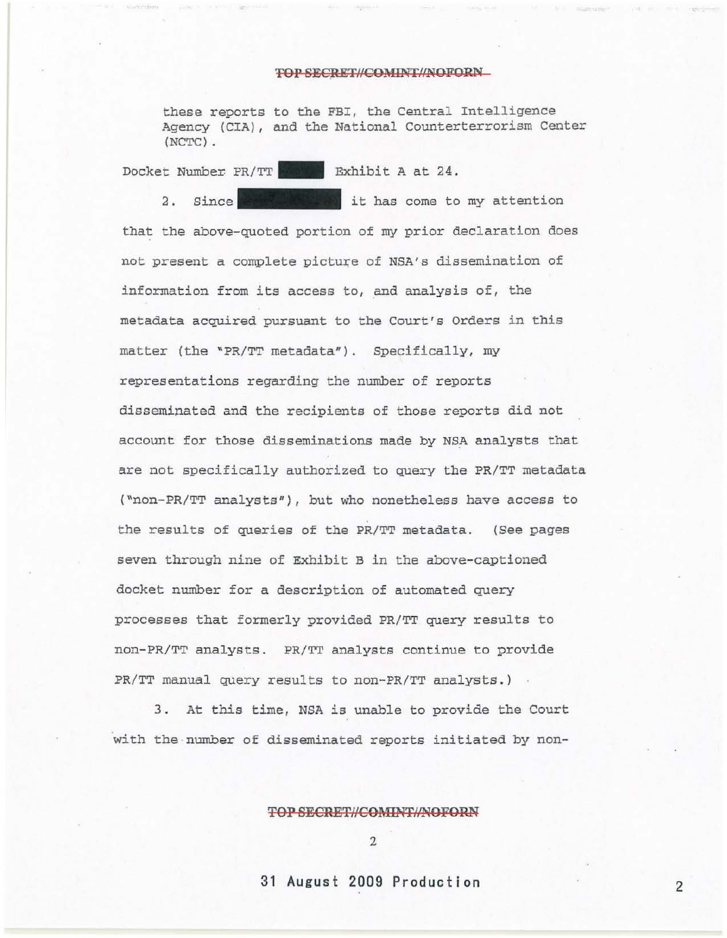## TOP SECRET//COMINT/NOFORN

these reports to the FBI, the Central Intelligence Agency (CIA), and the National Counterterrorism Center (NCTC) .

Docket Number *PR*/TT **Exhibit** A at 24.

2. Since  $\mathbb{Z}$  it has come to my attention that the above-quoted portion of my prior declaration does not present a complete picture of NSA's dissemination of information from its access to, and analysis of, the metadata acquired pursuant to the Court's Orders in this matter (the *'PR/TT* metadata"). Specifically, my representations regarding the number of reports disseminated and the recipients of those reports did not account for those disseminations made by NSA analysts that are not specifically authorized to query the *PRITT* metadata ("non-PRITT analysts"), but who nonetheless have access to the results of queries of the *PRITT* metadata. (See pages seven through nine of Exhibit B in the above-captioned docket number for a description of automated query processes that formerly provided *PRITT* query results to non-PRITT analysts. *PRITT* analysts continue to provide PR/TT manual query results to non-PR/TT analysts.)

3. At this time, NSA is unable to provide the Court with the number of disseminated reports initiated by non-

**TOP SECRETlICOMINTlJNOFORN** 

2

**31 August 2009 Production** 2